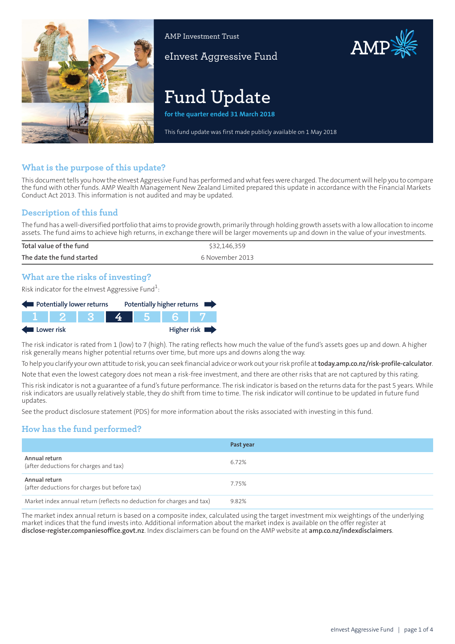

AMP Investment Trust

eInvest Aggressive Fund

# AMP

# **Fund Update**

**for the quarter ended 31 March 2018**

This fund update was first made publicly available on 1 May 2018

### **What is the purpose of this update?**

This document tells you how the eInvest Aggressive Fund has performed and what fees were charged. The document will help you to compare the fund with other funds. AMP Wealth Management New Zealand Limited prepared this update in accordance with the Financial Markets Conduct Act 2013. This information is not audited and may be updated.

### **Description of this fund**

The fund has a well-diversified portfolio that aims to provide growth, primarily through holding growth assets with a low allocation to income assets. The fund aims to achieve high returns, in exchange there will be larger movements up and down in the value of your investments.

| Total value of the fund   | \$32,146,359    |
|---------------------------|-----------------|
| The date the fund started | 6 November 2013 |
|                           |                 |

### **What are the risks of investing?**

Risk indicator for the eInvest Aggressive Fund $^1\!\! :$ 

| Potentially lower returns |  | Potentially higher returns |  |  |             |
|---------------------------|--|----------------------------|--|--|-------------|
|                           |  |                            |  |  |             |
| Lower risk                |  |                            |  |  | Higher risk |

The risk indicator is rated from 1 (low) to 7 (high). The rating reflects how much the value of the fund's assets goes up and down. A higher risk generally means higher potential returns over time, but more ups and downs along the way.

To help you clarify your own attitude to risk, you can seek financial advice orwork out yourrisk profile at**[today.amp.co.nz/risk-profile-calculator](http://today.amp.co.nz/risk-profile-calculator)**.

Note that even the lowest category does not mean a risk-free investment, and there are other risks that are not captured by this rating.

This risk indicator is not a guarantee of a fund's future performance. The risk indicator is based on the returns data for the past 5 years. While risk indicators are usually relatively stable, they do shift from time to time. The risk indicator will continue to be updated in future fund updates.

See the product disclosure statement (PDS) for more information about the risks associated with investing in this fund.

# **How has the fund performed?**

|                                                                        | Past year |
|------------------------------------------------------------------------|-----------|
| Annual return<br>(after deductions for charges and tax)                | 6.72%     |
| Annual return<br>(after deductions for charges but before tax)         | 7.75%     |
| Market index annual return (reflects no deduction for charges and tax) | 9.82%     |

The market index annual return is based on a composite index, calculated using the target investment mix weightings of the underlying market indices that the fund invests into. Additional information about the market index is available on the offer register at **[disclose-register.companiesoffice.govt.nz](https://disclose-register.companiesoffice.govt.nz/)**. Index disclaimers can be found on the AMP website at **[amp.co.nz/indexdisclaimers](http://amp.co.nz/indexdisclaimers)**.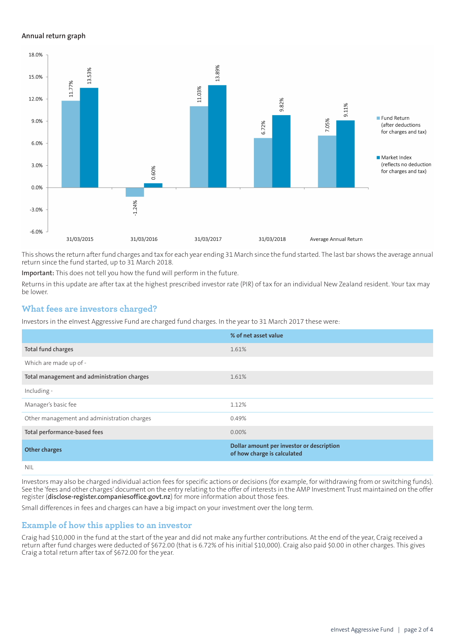#### **Annual return graph**



This shows the return afterfund charges and tax for each year ending 31 March since the fund started. The last bar shows the average annual return since the fund started, up to 31 March 2018.

**Important:** This does not tell you how the fund will perform in the future.

Returns in this update are after tax at the highest prescribed investor rate (PIR) of tax for an individual New Zealand resident. Your tax may be lower.

#### **What fees are investors charged?**

Investors in the eInvest Aggressive Fund are charged fund charges. In the year to 31 March 2017 these were:

|                                             | % of net asset value                                                     |
|---------------------------------------------|--------------------------------------------------------------------------|
| Total fund charges                          | 1.61%                                                                    |
| Which are made up of -                      |                                                                          |
| Total management and administration charges | 1.61%                                                                    |
| Including -                                 |                                                                          |
| Manager's basic fee                         | 1.12%                                                                    |
| Other management and administration charges | 0.49%                                                                    |
| Total performance-based fees                | $0.00\%$                                                                 |
| <b>Other charges</b>                        | Dollar amount per investor or description<br>of how charge is calculated |
| NII                                         |                                                                          |

Investors may also be charged individual action fees for specific actions or decisions (for example, for withdrawing from or switching funds). See the 'fees and other charges' document on the entry relating to the offer of interests in the AMP Investment Trust maintained on the offer register (**[disclose-register.companiesoffice.govt.nz](https://disclose-register.companiesoffice.govt.nz/)**) for more information about those fees.

Small differences in fees and charges can have a big impact on your investment over the long term.

#### **Example of how this applies to an investor**

Craig had \$10,000 in the fund at the start of the year and did not make any further contributions. At the end of the year, Craig received a return after fund charges were deducted of \$672.00 (that is 6.72% of his initial \$10,000). Craig also paid \$0.00 in other charges. This gives Craig a total return after tax of \$672.00 for the year.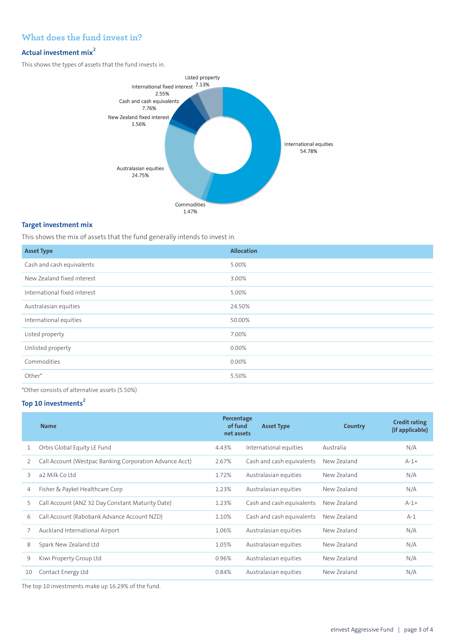# **What does the fund invest in?**

# **Actual investment mix<sup>2</sup>**

This shows the types of assets that the fund invests in.



#### **Target investment mix**

This shows the mix of assets that the fund generally intends to invest in.

| <b>Asset Type</b>            | <b>Allocation</b> |
|------------------------------|-------------------|
| Cash and cash equivalents    | 5.00%             |
| New Zealand fixed interest   | 3.00%             |
| International fixed interest | 5.00%             |
| Australasian equities        | 24.50%            |
| International equities       | 50.00%            |
| Listed property              | 7.00%             |
| Unlisted property            | 0.00%             |
| Commodities                  | 0.00%             |
| Other*                       | 5.50%             |
|                              |                   |

\*Other consists of alternative assets (5.50%)

# **Top 10 investments<sup>2</sup>**

| <b>Name</b>                                             |       | <b>Asset Type</b>         | Country                             | <b>Credit rating</b><br>(if applicable) |
|---------------------------------------------------------|-------|---------------------------|-------------------------------------|-----------------------------------------|
| Orbis Global Equity LE Fund                             | 4.43% | International equities    | Australia                           | N/A                                     |
| Call Account (Westpac Banking Corporation Advance Acct) | 2.67% | Cash and cash equivalents | New Zealand                         | $A-1+$                                  |
| a2 Milk Co Ltd                                          | 1.72% | Australasian equities     | New Zealand                         | N/A                                     |
| Fisher & Paykel Healthcare Corp                         | 1.23% | Australasian equities     | New Zealand                         | N/A                                     |
| Call Account (ANZ 32 Day Constant Maturity Date)        | 1.23% | Cash and cash equivalents | New Zealand                         | $A-1+$                                  |
| Call Account (Rabobank Advance Account NZD)             | 1.10% | Cash and cash equivalents | New Zealand                         | $A-1$                                   |
| Auckland International Airport                          | 1.06% | Australasian equities     | New Zealand                         | N/A                                     |
| Spark New Zealand Ltd                                   | 1.05% | Australasian equities     | New Zealand                         | N/A                                     |
| Kiwi Property Group Ltd                                 | 0.96% | Australasian equities     | New Zealand                         | N/A                                     |
| Contact Energy Ltd                                      | 0.84% | Australasian equities     | New Zealand                         | N/A                                     |
|                                                         |       |                           | Percentage<br>of fund<br>net assets |                                         |

The top 10 investments make up 16.29% of the fund.